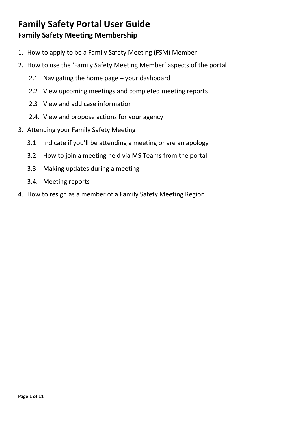- 1. How to apply to be a Family Safety Meeting (FSM) Member
- 2. How to use the 'Family Safety Meeting Member' aspects of the portal
	- 2.1 Navigating the home page your dashboard
	- 2.2 View upcoming meetings and completed meeting reports
	- 2.3 View and add case information
	- 2.4. View and propose actions for your agency
- 3. Attending your Family Safety Meeting
	- 3.1 Indicate if you'll be attending a meeting or are an apology
	- 3.2 How to join a meeting held via MS Teams from the portal
	- 3.3 Making updates during a meeting
	- 3.4. Meeting reports
- 4. How to resign as a member of a Family Safety Meeting Region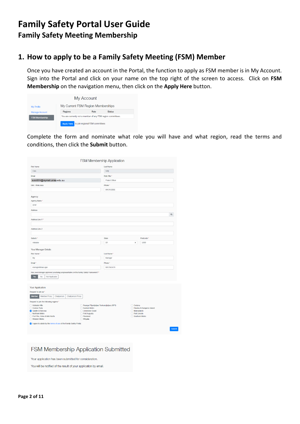#### **1. How to apply to be a Family Safety Meeting (FSM) Member**

Once you have created an account in the Portal, the function to apply as FSM member is in My Account. Sign into the Portal and click on your name on the top right of the screen to access. Click on **FSM Membership** on the navigation menu, then click on the **Apply Here** button.

|                       |                   | My Account                                                   |               |  |
|-----------------------|-------------------|--------------------------------------------------------------|---------------|--|
| <b>My Profile</b>     |                   | My Current FSM Region Memberships                            |               |  |
| <b>Manage Account</b> | Regions           | Role                                                         | <b>Status</b> |  |
| <b>FSM Membership</b> |                   | You are currently not a member of any FSM region committees. |               |  |
|                       | <b>Apply Here</b> | to join regional FSM committees                              |               |  |

Complete the form and nominate what role you will have and what region, read the terms and conditions, then click the **Submit** button.

| First Name<br>Cara<br>Email<br>solcl001@mymail.unisa.edu.au<br>Unit / Work Area<br>Agency<br>Agency Name *<br>OPW<br>Address<br>Address Line 1 *                                                                                             | <b>Last Name</b><br>Solly<br>Role Title *<br>Project Officer<br>Phone *<br>0412153685 |                                    |                                              | $\alpha$      |
|----------------------------------------------------------------------------------------------------------------------------------------------------------------------------------------------------------------------------------------------|---------------------------------------------------------------------------------------|------------------------------------|----------------------------------------------|---------------|
|                                                                                                                                                                                                                                              |                                                                                       |                                    |                                              |               |
|                                                                                                                                                                                                                                              |                                                                                       |                                    |                                              |               |
|                                                                                                                                                                                                                                              |                                                                                       |                                    |                                              |               |
|                                                                                                                                                                                                                                              |                                                                                       |                                    |                                              |               |
|                                                                                                                                                                                                                                              |                                                                                       |                                    |                                              |               |
|                                                                                                                                                                                                                                              |                                                                                       |                                    |                                              |               |
|                                                                                                                                                                                                                                              |                                                                                       |                                    |                                              |               |
|                                                                                                                                                                                                                                              |                                                                                       |                                    |                                              |               |
|                                                                                                                                                                                                                                              |                                                                                       |                                    |                                              |               |
| Address Line 2                                                                                                                                                                                                                               |                                                                                       |                                    |                                              |               |
| Suburb *                                                                                                                                                                                                                                     | State                                                                                 |                                    | Postcode *                                   |               |
| Adelaide                                                                                                                                                                                                                                     | SA                                                                                    | ۰                                  | 5000                                         |               |
| Your Manager Details<br>First Name*<br>My                                                                                                                                                                                                    | Last Name *<br>Manager                                                                |                                    |                                              |               |
| Email *                                                                                                                                                                                                                                      | Phone *                                                                               |                                    |                                              |               |
| manager@man.ager                                                                                                                                                                                                                             | 0412345678                                                                            |                                    |                                              |               |
| Has your manager approved you being a representative on the Family Safety Framework? *<br>No<br>Not Applicable<br>Wie.                                                                                                                       |                                                                                       |                                    |                                              |               |
| <b>Your Application</b>                                                                                                                                                                                                                      |                                                                                       |                                    |                                              |               |
| Request to join as *<br><b>Member</b><br><b>Member Proxy</b><br>Chairperson<br>Chairperson Proxy                                                                                                                                             |                                                                                       |                                    |                                              |               |
| Request to join the following regions *<br>□ Adelaide Hills                                                                                                                                                                                  |                                                                                       | $\Box$ Ceduna                      |                                              |               |
| Anangu Pitjantjatjara Yankunytjatjara (APY)<br>Coober Pedy<br>Eastern Metro<br><b>C</b> Gawler & Barossa<br>□ Limestone Coast<br>Northern Metro<br>Port Augusta<br>Port Pire, Yorke & Mid-North<br>Riverland<br>□ Western Metro<br>□ Whyalla |                                                                                       | Murraylands<br><b>Port Lincoln</b> | Fleurieu & Kangaroo Island<br>Southern Metro |               |
| I agree to abide by the terms of use of the Family Safety Portal.                                                                                                                                                                            |                                                                                       |                                    |                                              |               |
|                                                                                                                                                                                                                                              |                                                                                       |                                    |                                              | <b>Submit</b> |

FSM Membership Application Submitted

Your application has been submitted for consideration.

You will be notified of the result of your application by email.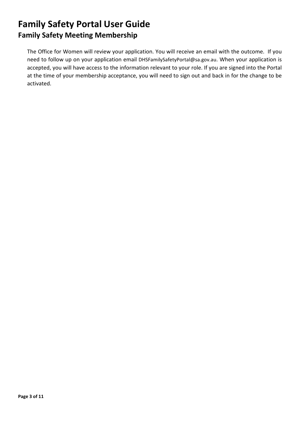The Office for Women will review your application. You will receive an email with the outcome. If you need to follow up on your application email [DHSFamilySafetyPortal@sa.gov.au.](mailto:DHSFamilySafetyPortal@sa.gov.auW) When your application is accepted, you will have access to the information relevant to your role. If you are signed into the Portal at the time of your membership acceptance, you will need to sign out and back in for the change to be activated.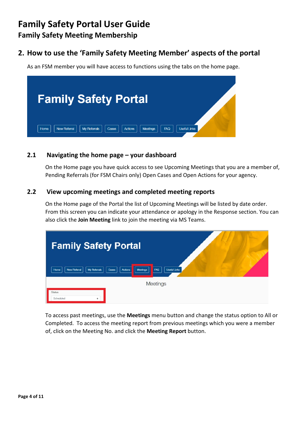### **2. How to use the 'Family Safety Meeting Member' aspects of the portal**

As an FSM member you will have access to functions using the tabs on the home page.



#### **2.1 Navigating the home page – your dashboard**

On the Home page you have quick access to see Upcoming Meetings that you are a member of, Pending Referrals (for FSM Chairs only) Open Cases and Open Actions for your agency.

#### **2.2 View upcoming meetings and completed meeting reports**

On the Home page of the Portal the list of Upcoming Meetings will be listed by date order. From this screen you can indicate your attendance or apology in the Response section. You can also click the **Join Meeting** link to join the meeting via MS Teams.

| <b>Family Safety Portal</b>                                                                                      |  |
|------------------------------------------------------------------------------------------------------------------|--|
| <b>Meetings</b><br><b>Useful Links</b><br>Actions<br>FAQ<br>My Referrals<br><b>New Referral</b><br>Cases<br>Home |  |
| Meetings                                                                                                         |  |
| <b>Status</b><br>Scheduled<br>÷                                                                                  |  |

To access past meetings, use the **Meetings** menu button and change the status option to All or Completed. To access the meeting report from previous meetings which you were a member of, click on the Meeting No. and click the **Meeting Report** button.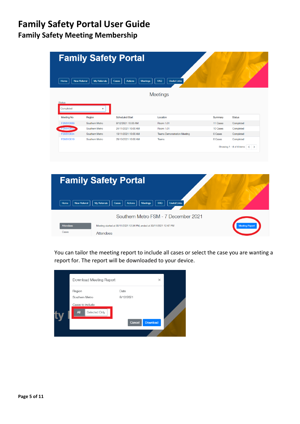|                             |                | <b>Family Safety Portal</b>                |                                    |          |               |
|-----------------------------|----------------|--------------------------------------------|------------------------------------|----------|---------------|
| <b>New Referral</b><br>Home | My Referrals   | Cases<br><b>Actions</b><br><b>Meetings</b> | <b>Useful Links</b><br>FAQ         |          |               |
|                             |                |                                            | <b>Meetings</b>                    |          |               |
| <b>Status</b>               |                |                                            |                                    |          |               |
|                             |                |                                            |                                    |          |               |
| Completed                   | ÷.             |                                            |                                    |          |               |
| <b>Meeting No</b>           | Region         | <b>Scheduled Start</b>                     | Location                           | Summary  | <b>Status</b> |
| <b>FSM010069</b>            | Southern Metro | 8/12/2021 10:00 AM                         | Room 1.01                          | 11 Cases | Completed     |
| <b>ESM010057</b>            | Southern Metro | 24/11/2021 10:00 AM                        | Room 1.01                          | 10 Cases | Completed     |
| <b>FSM010034</b>            | Southern Metro | 10/11/2021 10:00 AM                        | <b>Teams Demonstration Meeting</b> | 6 Cases  | Completed     |



You can tailor the meeting report to include all cases or select the case you are wanting a report for. The report will be downloaded to your device.

| Download Meeting Report                                                     |                             | ×        |  |
|-----------------------------------------------------------------------------|-----------------------------|----------|--|
| Region<br>Southern Metro<br>Cases to include<br>Selected Only<br><b>All</b> | Date<br>8/12/2021<br>Cancel | Download |  |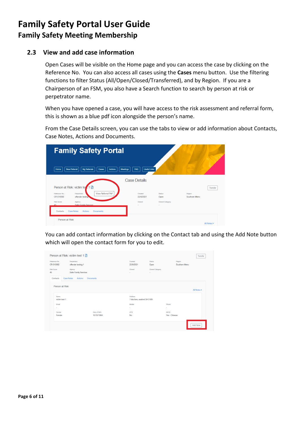#### **2.3 View and add case information**

Open Cases will be visible on the Home page and you can access the case by clicking on the Reference No. You can also access all cases using the **Cases** menu button. Use the filtering functions to filter Status (All/Open/Closed/Transferred), and by Region. If you are a Chairperson of an FSM, you also have a Search function to search by person at risk or perpetrator name.

When you have opened a case, you will have access to the risk assessment and referral form, this is shown as a blue pdf icon alongside the person's name.

From the Case Details screen, you can use the tabs to view or add information about Contacts, Case Notes, Actions and Documents.

| <b>Family Safety Portal</b>                                                                                                 |                            |                       |                          |             |
|-----------------------------------------------------------------------------------------------------------------------------|----------------------------|-----------------------|--------------------------|-------------|
| My Referrals<br>New Referral<br>Cases<br><b>Actions</b><br>Meetings<br>Home                                                 | <b>Useful Links</b><br>FAQ |                       |                          |             |
|                                                                                                                             | <b>Case Details</b>        |                       |                          |             |
| Person at Risk: victim tex 1 A<br><b>View Referral Pdf</b><br>Perpetrator<br>Reference No.<br>CB-010092<br>offender testing | Created<br>22/9/2021       | <b>Status</b><br>Open | Region<br>Southern Metro | Transfer    |
| <b>Risk Score</b><br>Agency<br>Safer Family Services<br>45<br><b>Case Notes</b><br>Contacts<br>Actions<br><b>Documents</b>  | Closad<br>$\sim$           | Closed Category<br>٠  |                          |             |
| Person at Risk                                                                                                              |                            |                       |                          | All Notes > |

You can add contact information by clicking on the Contact tab and using the Add Note button which will open the contact form for you to edit.

|                            | Person at Risk: victim test 1 A   |                             |                                         |                           |                              | Transfer        |
|----------------------------|-----------------------------------|-----------------------------|-----------------------------------------|---------------------------|------------------------------|-----------------|
| Reference No.<br>CR-010092 | Perpetrator<br>offender testing 1 |                             | Created<br>22/9/2021                    | <b>Status</b><br>Open     | Region<br>Southern Metro     |                 |
| <b>Risk Score</b><br>45    | Agency<br>Safer Family Services   |                             | Closed<br>×.                            | Closed Category<br>$\sim$ |                              |                 |
| Contacts                   | Case Notes<br>Actions             | Documents                   |                                         |                           |                              |                 |
| Person at Risk             |                                   |                             |                                         |                           |                              | All Notes >     |
| Namo<br>victim test 1      |                                   |                             | Address<br>1 lala lane, seaford SA 5169 |                           |                              |                 |
| Email<br>$\sim$            |                                   |                             | Mobile<br>٠                             |                           | Phone<br>×.                  |                 |
| Gender<br>Female           |                                   | Date of Birth<br>10/10/1984 | <b>ATSI</b><br><b>No</b>                |                           | <b>NESB</b><br>Yes - Chinese |                 |
|                            |                                   |                             |                                         |                           |                              | <b>Add Note</b> |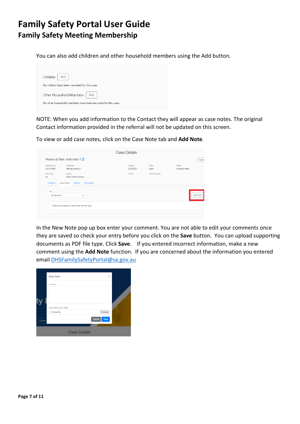You can also add children and other household members using the Add button.

| Children<br>Add                                              |
|--------------------------------------------------------------|
| No children have been recorded for this case.                |
| Other Household Members   Add                                |
| No other household members have been recorded for this case. |
|                                                              |

NOTE: When you add information to the Contact they will appear as case notes. The original Contact information provided in the referral will not be updated on this screen.

To view or add case notes, click on the Case Note tab and **Add Note**.

| Reference No.          | Perpetrator           | Created   | <b>Status</b>   | Region         |
|------------------------|-----------------------|-----------|-----------------|----------------|
| CR-010092              | offender testing 1    | 22/9/2021 | Open            | Southern Metro |
| <b>Risk Score</b>      | Agency                | Closed    | Closed Category |                |
| 45                     | Safer Family Services | $\sim$    | $\sim$          |                |
| Case Notes<br>Contacts |                       |           |                 |                |
| By                     |                       |           |                 |                |

In the New Note pop up box enter your comment. You are not able to edit your comments once they are saved so check your entry before you click on the **Save** button. You can upload supporting documents as PDF file type. Click **Save**. If you entered incorrect information, make a new comment using the **Add Note** function. If you are concerned about the information you entered email [DHSFamilySafetyPortal@sa.gov.au](mailto:DHSFamilySafetyPortal@sa.gov.au)

|       | New Note               | $\times$      |  |
|-------|------------------------|---------------|--|
|       | Commont                |               |  |
|       |                        |               |  |
|       | Attachments (max 10MB) |               |  |
|       | Choose file            | <b>Browse</b> |  |
| Cases | Cancel                 | Save          |  |
|       | <b>Case Details</b>    |               |  |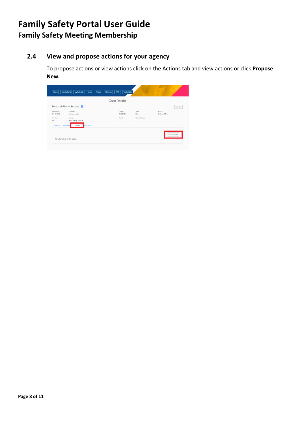### **2.4 View and propose actions for your agency**

To propose actions or view actions click on the Actions tab and view actions or click **Propose New.**

|                                                  |                                                        | <b>Case Details</b>  |                           |                          |          |
|--------------------------------------------------|--------------------------------------------------------|----------------------|---------------------------|--------------------------|----------|
|                                                  | Person at Risk: victim test 1 A                        |                      |                           |                          | Transfer |
| Rotorongo No.<br>CR-010092                       | Perpetrator<br>offender testing 1                      | Croated<br>22/9/2021 | Stofuo<br>Open            | Radion<br>Southern Metro |          |
| <b>Risk Score</b><br>45<br>Contacts<br>Case Note | Agency<br>Safer Family Services<br>Actions<br>ocuments | Closed<br>$\sim$     | Closed Category<br>$\sim$ |                          |          |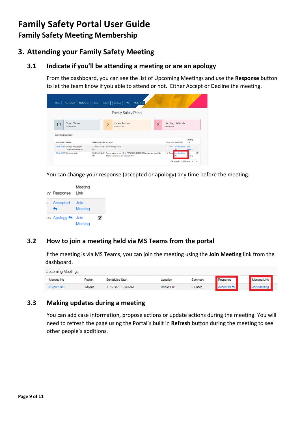#### **3. Attending your Family Safety Meeting**

#### **3.1 Indicate if you'll be attending a meeting or are an apology**

From the dashboard, you can see the list of Upcoming Meetings and use the **Response** button to let the team know if you able to attend or not. Either Accept or Decline the meeting.

| Home                     | My Reformis<br>Now Referral                              | Cases                    | <b>Useful Links</b><br>Montings<br><b>BAQ</b><br>Actions: |   |                                        |         |
|--------------------------|----------------------------------------------------------|--------------------------|-----------------------------------------------------------|---|----------------------------------------|---------|
|                          |                                                          |                          | <b>Family Safety Portal</b>                               |   |                                        |         |
| 13                       | Open Cases<br>in your region(s)                          |                          | Open Actions<br>$\overline{2}$<br>in your regionist)      | 3 | Pending Referrals<br>In your regionist |         |
|                          |                                                          |                          |                                                           |   |                                        |         |
| <b>Upcoming Meetings</b> |                                                          |                          |                                                           |   |                                        | Meeting |
| Meeting No Region        |                                                          | Scheduled Start Location |                                                           |   | Summary Response                       | Link    |
|                          | FSM010086 Anangu Pitjantjatjara<br>Yankunytjatjara (APY) | PM                       | 22/3/2022 2:30 Online Using Teams                         |   | 1 Cases No Response Join               | Meeting |

You can change your response (accepted or apology) any time before the meeting.

|   | <b>iry Response</b> | Meeting<br>Link |   |
|---|---------------------|-----------------|---|
| s | Accepted            | Join<br>Meetina |   |
|   | es Apology <>> 10in | Meeting         | m |

#### **3.2 How to join a meeting held via MS Teams from the portal**

If the meeting is via MS Teams, you can join the meeting using the **Join Meeting** link from the dashboard.

| <b>Upcoming Meetings</b> |                   |         |                        |           |         |                            |                     |  |
|--------------------------|-------------------|---------|------------------------|-----------|---------|----------------------------|---------------------|--|
|                          | <b>Meeting No</b> | Region  | <b>Scheduled Start</b> | Location  | Summary | Response                   | <b>Meeting Link</b> |  |
|                          | <b>FSM010052</b>  | Whyalla | 11/5/2022 10:30 AM     | Room 1.01 | 2 Cases | $Accepted \Leftrightarrow$ | Join Meeting        |  |

#### **3.3 Making updates during a meeting**

You can add case information, propose actions or update actions during the meeting. You will need to refresh the page using the Portal's built in **Refresh** button during the meeting to see other people's additions.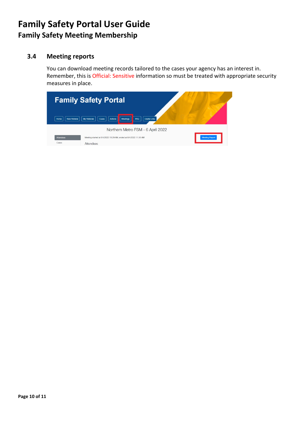#### **3.4 Meeting reports**

You can download meeting records tailored to the cases your agency has an interest in. Remember, this is Official: Sensitive information so must be treated with appropriate security measures in place.

| <b>New Referral</b><br>Home | <b>Family Safety Portal</b><br><b>Useful Links</b><br>My Referrals<br>Meetings<br>FAQ<br>Cases<br><b>Actions</b>          |                       |
|-----------------------------|---------------------------------------------------------------------------------------------------------------------------|-----------------------|
| <b>Attendees</b><br>Cases   | Northern Metro FSM - 6 April 2022<br>Meeting started at 6/4/2022 11:29 AM, ended at 6/4/2022 11:30 AM<br><b>Attendees</b> | <b>Meeting Report</b> |